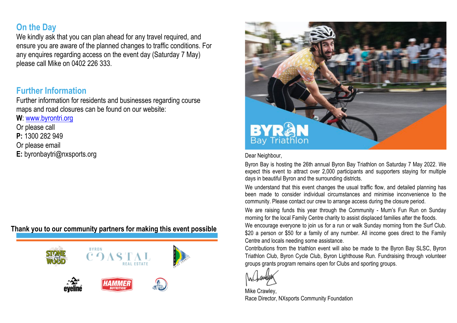# **On the Day**

We kindly ask that you can plan ahead for any travel required, and ensure you are aware of the planned changes to traffic conditions. For any enquires regarding access on the event day (Saturday 7 May) please call Mike on 0402 226 333.

### **Further Information**

Further information for residents and businesses regarding course maps and road closures can be found on our website:

**W**[: www.byrontri.org](http://www.byrontri.org/)

Or please call

**P:** 1300 282 949

Or please email

**E:** byronbaytri@nxsports.org

#### **Thank you to our community partners for making this event possible**





Dear Neighbour,

Byron Bay is hosting the 26th annual Byron Bay Triathlon on Saturday 7 May 2022. We expect this event to attract over 2,000 participants and supporters staying for multiple days in beautiful Byron and the surrounding districts.

We understand that this event changes the usual traffic flow, and detailed planning has been made to consider individual circumstances and minimise inconvenience to the community. Please contact our crew to arrange access during the closure period.

We are raising funds this year through the Community - Mum's Fun Run on Sunday morning for the local Family Centre charity to assist displaced families after the floods. We encourage everyone to join us for a run or walk Sunday morning from the Surf Club. \$20 a person or \$50 for a family of any number. All income goes direct to the Family Centre and locals needing some assistance.

Contributions from the triathlon event will also be made to the Byron Bay SLSC, Byron Triathlon Club, Byron Cycle Club, Byron Lighthouse Run. Fundraising through volunteer groups grants program remains open for Clubs and sporting groups.

Mike Crawley, Race Director, NXsports Community Foundation